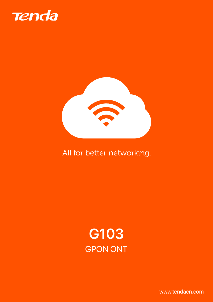



# All for better networking.



www.tendacn.com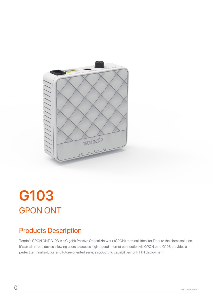

# **G103** GPON ONT

# Products Description

Tenda's GPON ONT G103 is a Gigabit Passive Optical Network (GPON) terminal, ideal for Fiber to the Home solution. It's an all-in-one device allowing users to access high-speed internet connection via GPON port. G103 provides a perfect terminal solution and future-oriented service supporting capabilities for FTTH deployment.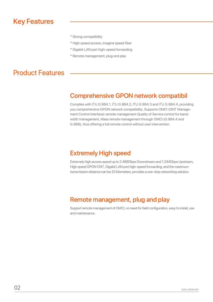## Key Features

- \* Strong compatibility
- \* High speed access, imagine speed fiber
- \* Gigabit LAN port high-speed forwarding
- \* Remote management, plug and play

### Product Features

#### Comprehensive GPON network compatibil

Complies with ITU G.984.1, ITU G.984.2, ITU G.984.3 and ITU G.984.4, providing you comprehensive GPON network compatibility, Supports OMCI (ONT Management Control Interface) remote management Quality of Service control for bandwidth management, Mass remote management through OMCI (G.984.4 and G.988), thus offering a full remote control without user intervention.

#### Extremely High speed

Extremely high access speed up to 2.488Gbps Downstream and 1.244Gbps Upstream, High speed GPON ONT, Gigabit LAN port high-speed forwarding, and the maximum transmission distance can be 20 kilometers, provides a one-stop networking solution.

#### Remote management, plug and play

Support remote management of OMCI, no need for field configuration, easy to install, use and maintenance.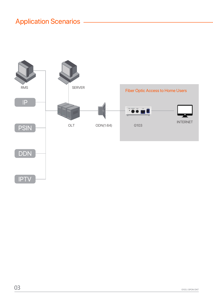# **Application Scenarios -**

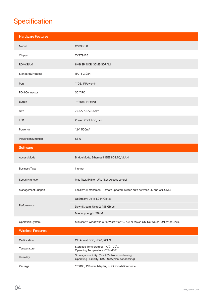# **Specification**

| <b>Hardware Features</b> |                                                                                                |
|--------------------------|------------------------------------------------------------------------------------------------|
| Model                    | G103 v3.0                                                                                      |
| Chipset                  | ZX279125                                                                                       |
| ROM&RAM                  | 8MB SPI NOR, 32MB SDRAM                                                                        |
| Standard&Protocol        | <b>ITU-T G.984</b>                                                                             |
| Port                     | 1*GE, 1*Power-in                                                                               |
| <b>PON Connector</b>     | SC/APC                                                                                         |
| <b>Button</b>            | 1*Reset, 1*Power                                                                               |
| Size                     | 77.5*77.5*28.5mm                                                                               |
| <b>LED</b>               | Power, PON, LOS, Lan                                                                           |
| Power-in                 | 12V, 500mA                                                                                     |
| Power consumption        | $≤6W$                                                                                          |
| <b>Software</b>          |                                                                                                |
| Access Mode              | Bridge Mode, Ethernet II, IEEE 802.1Q, VLAN                                                    |
| <b>Business Type</b>     | Internet                                                                                       |
| Security function        | Mac filter, IP filter, URL filter, Access control                                              |
| Management Support       | Local WEB manament, Remote updated, Switch auto between EN and CN, OMCI                        |
| Performance              | UpStream: Up to 1.244 Gbit/s                                                                   |
|                          | DownStream: Up to 2.488 Gbit/s                                                                 |
|                          | Max loop length: 20KM                                                                          |
| Operation System         | Microsoft <sup>®</sup> Windows® XP or Vista™ or 10, 7, 8 or MAC® OS, NetWare®, UNIX® or Linux. |
| <b>Wireless Features</b> |                                                                                                |
| Certification            | CE, Anatel, FCC, NOM, ROHS                                                                     |
| Temperature              | Storeage Temperature: -40°C - 70°C<br>Operating Temperature: 0°C - 45°C                        |
| Humidity                 | Storeage Humidity: 5% - 90%(Non-condensing)<br>Operating Humidity: 10% - 90% (Non-condensing)  |
| Package                  | 1*G103, 1*Power Adapter, Quick installation Guide                                              |